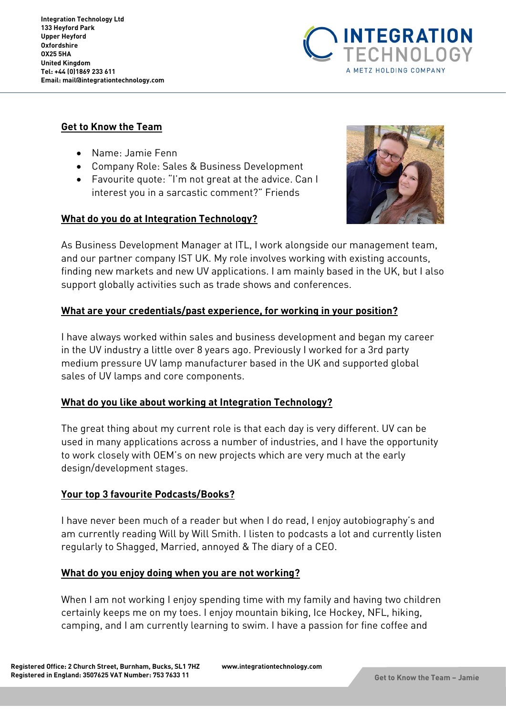

# **Get to Know the Team**

- Name: Jamie Fenn
- Company Role: Sales & Business Development
- Favourite quote: "I'm not great at the advice. Can I interest you in a sarcastic comment?" Friends

# **What do you do at Integration Technology?**



As Business Development Manager at ITL, I work alongside our management team, and our partner company IST UK. My role involves working with existing accounts, finding new markets and new UV applications. I am mainly based in the UK, but I also support globally activities such as trade shows and conferences.

# **What are your credentials/past experience, for working in your position?**

I have always worked within sales and business development and began my career in the UV industry a little over 8 years ago. Previously I worked for a 3rd party medium pressure UV lamp manufacturer based in the UK and supported global sales of UV lamps and core components.

### **What do you like about working at Integration Technology?**

The great thing about my current role is that each day is very different. UV can be used in many applications across a number of industries, and I have the opportunity to work closely with OEM's on new projects which are very much at the early design/development stages.

# **Your top 3 favourite Podcasts/Books?**

I have never been much of a reader but when I do read, I enjoy autobiography's and am currently reading Will by Will Smith. I listen to podcasts a lot and currently listen regularly to Shagged, Married, annoyed & The diary of a CEO.

### **What do you enjoy doing when you are not working?**

When I am not working I enjoy spending time with my family and having two children certainly keeps me on my toes. I enjoy mountain biking, Ice Hockey, NFL, hiking, camping, and I am currently learning to swim. I have a passion for fine coffee and